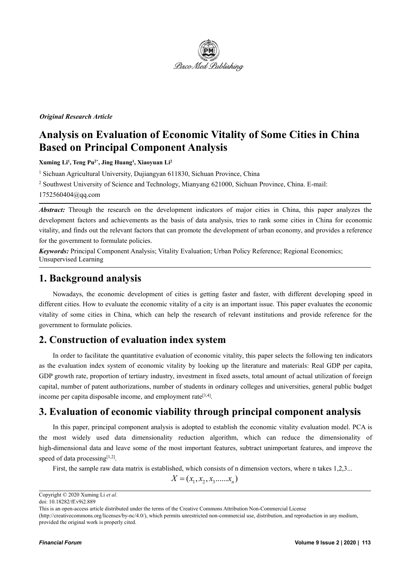

### *Original Research Article*

# **Analysis on Evaluation of Economic Vitality of Some Cities in China Based on Principal Component Analysis**

**Xuming Li<sup>1</sup> , Teng Pu 2\* , Jing Huang 1 , Xiaoyuan Li<sup>2</sup>**

<sup>1</sup> Sichuan Agricultural University, Dujiangyan 611830, Sichuan Province, China

<sup>2</sup> Southwest University of Science and Technology, Mianyang 621000, Sichuan Province, China. E-mail:

1752560404@qq.com

*Abstract:* Through the research on the development indicators of major cities in China, this paper analyzes the development factors and achievements as the basis of data analysis, tries to rank some cities in China for economic vitality, and finds out the relevant factors that can promote the development of urban economy, and provides a reference for the government to formulate policies.

*Keywords:* Principal Component Analysis; Vitality Evaluation; Urban Policy Reference; Regional Economics; Unsupervised Learning

### **1. Background analysis**

Nowadays, the economic development of cities is getting faster and faster, with different developing speed in different cities. How to evaluate the economic vitality of a city is an importantissue. This paper evaluates the economic vitality of some cities in China, which can help the research of relevant institutions and provide reference for the government to formulate policies.

## **2. Construction of evaluation index system**

In order to facilitate the quantitative evaluation of economic vitality, this paper selects the following ten indicators as the evaluation index system of economic vitality by looking up the literature and materials: Real GDP per capita, GDP growth rate, proportion of tertiary industry, investment in fixed assets, total amount of actual utilization of foreign capital, number of patent authorizations, number of students in ordinary colleges and universities, general public budget income per capita disposable income, and employment rate [3,4].

## **3. Evaluation of economic viability through principal component analysis**

In this paper, principal component analysis is adopted to establish the economic vitality evaluation model. PCA is the most widely used data dimensionality reduction algorithm, which can reduce the dimensionality of high-dimensional data and leave some of the most important features, subtract unimportant features, and improve the speed of data processing<sup>[1,2]</sup>.

First, the sample raw data matrix is established, which consists of n dimension vectors, where n takes 1,2,3...

 $X = (x_1, x_2, x_3, \ldots, x_n)$ 

(http://creativecommons.org/licenses/by-nc/4.0/), which permits unrestricted non-commercial use, distribution, and reproduction in any medium, provided the original work is properly cited.

Copyright © 2020 Xuming Li *et al*.

doi: 10.18282/ff.v9i2.889

This is an open-access article distributed under the terms of the Creative Commons Attribution Non-Commercial License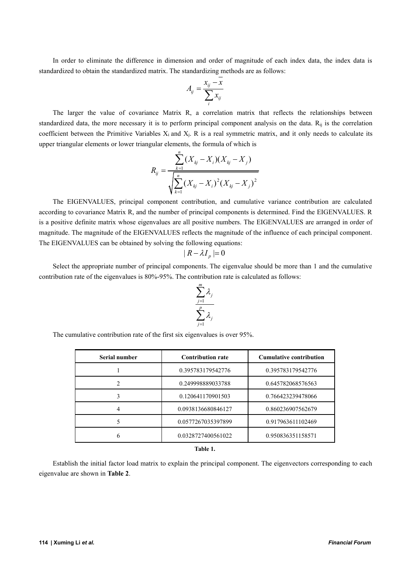In order to eliminate the difference in dimension and order of magnitude of each index data, the index data is standardized to obtain the standardized matrix. The standardizing methods are as follows:

$$
A_{ij} = \frac{x_{ij} - x}{\sum_{i} x_{ij}}
$$

The larger the value of covariance Matrix R, a correlation matrix that reflects the relationships between standardized data, the more necessary it is to perform principal component analysis on the data.  $R_{ij}$  is the correlation coefficient between the Primitive Variables X<sup>i</sup> and Xj. R is a real symmetric matrix, and it only needs to calculate its upper triangular elements or lower triangular elements, the formula of which is

$$
R_{ij} = \frac{\sum_{k=1}^{n} (X_{kj} - X_i)(X_{kj} - X_j)}{\sqrt{\sum_{k=1}^{n} (X_{kj} - X_i)^2 (X_{kj} - X_j)^2}}
$$

The EIGENVALUES, principal component contribution, and cumulative variance contribution are calculated according to covariance Matrix R, and the number of principal components is determined. Find the EIGENVALUES. R is a positive definite matrix whose eigenvalues are all positive numbers. The EIGENVALUES are arranged in order of magnitude. The magnitude of the EIGENVALUES reflects the magnitude of the influence of each principal component. The EIGENVALUES can be obtained by solving the following equations:

$$
|R-\lambda I_{\scriptscriptstyle P}|{=0}
$$

Select the appropriate number of principal components. The eigenvalue should be more than 1 and the cumulative contribution rate of the eigenvalues is 80%-95%. The contribution rate is calculated as follows:

$$
\frac{\sum_{j=1}^m \lambda_j}{\sum_{j=1}^p \lambda_j}
$$

The cumulative contribution rate of the first six eigenvalues is over 95%.

| Serial number | <b>Contribution rate</b> | <b>Cumulative contribution</b> |  |
|---------------|--------------------------|--------------------------------|--|
|               | 0.395783179542776        | 0.395783179542776              |  |
|               | 0.249998889033788        | 0.645782068576563              |  |
|               | 0.120641170901503        | 0.766423239478066              |  |
|               | 0.0938136680846127       | 0.860236907562679              |  |
|               | 0.0577267035397899       | 0.917963611102469              |  |
|               | 0.0328727400561022       | 0.950836351158571              |  |

#### **Table 1.**

Establish the initial factor load matrix to explain the principal component. The eigenvectors corresponding to each eigenvalue are shown in **Table 2**.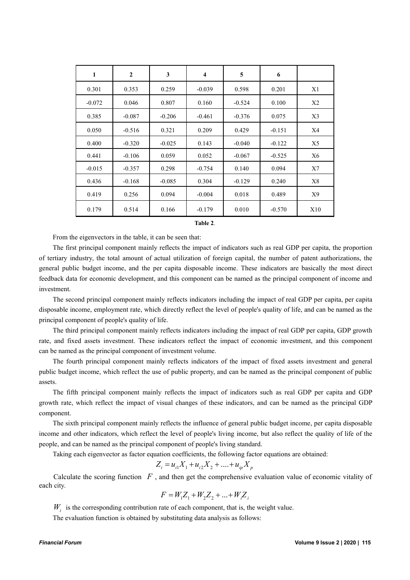| $\mathbf{1}$ | $\overline{2}$ | 3        | $\overline{4}$ | 5        | 6        |     |
|--------------|----------------|----------|----------------|----------|----------|-----|
| 0.301        | 0.353          | 0.259    | $-0.039$       | 0.598    | 0.201    | X1  |
| $-0.072$     | 0.046          | 0.807    | 0.160          | $-0.524$ | 0.100    | X2  |
| 0.385        | $-0.087$       | $-0.206$ | $-0.461$       | $-0.376$ | 0.075    | X3  |
| 0.050        | $-0.516$       | 0.321    | 0.209          | 0.429    | $-0.151$ | X4  |
| 0.400        | $-0.320$       | $-0.025$ | 0.143          | $-0.040$ | $-0.122$ | X5  |
| 0.441        | $-0.106$       | 0.059    | 0.052          | $-0.067$ | $-0.525$ | X6  |
| $-0.015$     | $-0.357$       | 0.298    | $-0.754$       | 0.140    | 0.094    | X7  |
| 0.436        | $-0.168$       | $-0.085$ | 0.304          | $-0.129$ | 0.240    | X8  |
| 0.419        | 0.256          | 0.094    | $-0.004$       | 0.018    | 0.489    | X9  |
| 0.179        | 0.514          | 0.166    | $-0.179$       | 0.010    | $-0.570$ | X10 |

From the eigenvectors in the table, it can be seen that:

The first principal component mainly reflects the impact of indicators such as real GDP per capita, the proportion of tertiary industry, the total amount of actual utilization of foreign capital, the number of patent authorizations, the general public budget income, and the per capita disposable income. These indicators are basically the most direct feedback data for economic development, and this component can be named as the principal component of income and investment.

The second principal component mainly reflects indicators including the impact of real GDP per capita, per capita disposable income, employment rate, which directly reflect the level of people's quality of life, and can be named as the principal component of people's quality of life.

The third principal component mainly reflects indicators including the impact of real GDP per capita, GDP growth rate, and fixed assets investment. These indicators reflect the impact of economic investment, and this component can be named as the principal component of investment volume.

The fourth principal component mainly reflects indicators of the impact of fixed assets investment and general public budget income, which reflect the use of public property, and can be named as the principal component of public assets.<br>The fifth principal component mainly reflects the impact of indicators such as real GDP per capita and GDP

growth rate, which reflect the impact of visual changes of these indicators, and can be named as the principal GDP component.

The sixth principal component mainly reflects the influence of general public budget income, per capita disposable income and other indicators, which reflect the level of people's living income, but also reflect the quality of life of the people, and can be named as the principal component of people's living standard.

Taking each eigenvector as factor equation coefficients, the following factor equations are obtained:

$$
Z_i = u_{i1}X_1 + u_{i2}X_2 + \dots + u_{ip}X_p
$$

Calculate the scoring function *F* , and then get the comprehensive evaluation value of economic vitality of each city.

$$
F = W_1 Z_1 + W_2 Z_2 + \dots + W_i Z_i
$$

 $W_i$  is the corresponding contribution rate of each component, that is, the weight value.

The evaluation function is obtained by substituting data analysis as follows: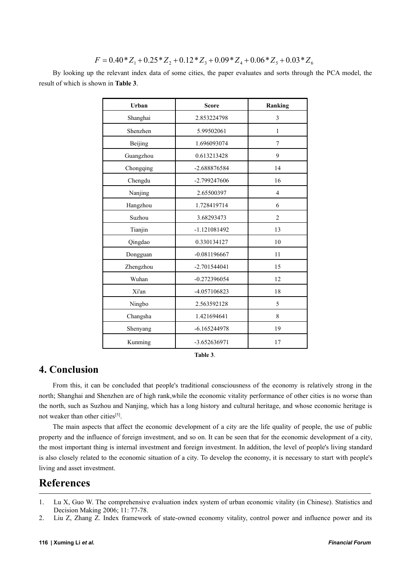$$
F = 0.40 \times Z_1 + 0.25 \times Z_2 + 0.12 \times Z_3 + 0.09 \times Z_4 + 0.06 \times Z_5 + 0.03 \times Z_6
$$

By looking up the relevant index data of some cities, the paper evaluates and sorts through the PCA model, the result of which is shown in **Table 3**.

| Urban     | <b>Score</b>   | Ranking        |  |
|-----------|----------------|----------------|--|
| Shanghai  | 2.853224798    | 3              |  |
| Shenzhen  | 5.99502061     | $\mathbf{1}$   |  |
| Beijing   | 1.696093074    | $\tau$         |  |
| Guangzhou | 0.613213428    | 9              |  |
| Chongqing | -2.688876584   | 14             |  |
| Chengdu   | -2.799247606   | 16             |  |
| Nanjing   | 2.65500397     | $\overline{4}$ |  |
| Hangzhou  | 1.728419714    | 6              |  |
| Suzhou    | 3.68293473     | $\overline{2}$ |  |
| Tianjin   | -1.121081492   | 13             |  |
| Qingdao   | 0.330134127    | 10             |  |
| Dongguan  | $-0.081196667$ | 11             |  |
| Zhengzhou | $-2.701544041$ | 15             |  |
| Wuhan     | $-0.272396054$ | 12             |  |
| Xi'an     | -4.057106823   | 18             |  |
| Ningbo    | 2.563592128    | 5              |  |
| Changsha  | 1.421694641    | 8              |  |
| Shenyang  | $-6.165244978$ | 19             |  |
| Kunming   | -3.652636971   | 17             |  |

**Table 3**.

## **4. Conclusion**

From this, it can be concluded that people's traditional consciousness of the economy is relatively strong in the north; Shanghai and Shenzhen are of high rank,while the economic vitality performance of other cities is no worse than the north, such as Suzhou and Nanjing, which has a long history and cultural heritage, and whose economic heritage is not weaker than other cities<sup>[5]</sup>.

The main aspects that affect the economic development of a city are the life quality of people, the use of public property and the influence of foreign investment, and so on. It can be seen that for the economic development of a city, the most important thing is internal investment and foreign investment. In addition, the level of people's living standard is also closely related to the economic situation of a city. To develop the economy, it is necessary to start with people's living and asset investment.

# **References**

- 1. Lu X, Guo W. The comprehensive evaluation index system of urban economic vitality (in Chinese). Statistics and Decision Making 2006; 11: 77-78.
- 2. Liu Z, Zhang Z. Index framework of state-owned economy vitality, control power and influence power and its